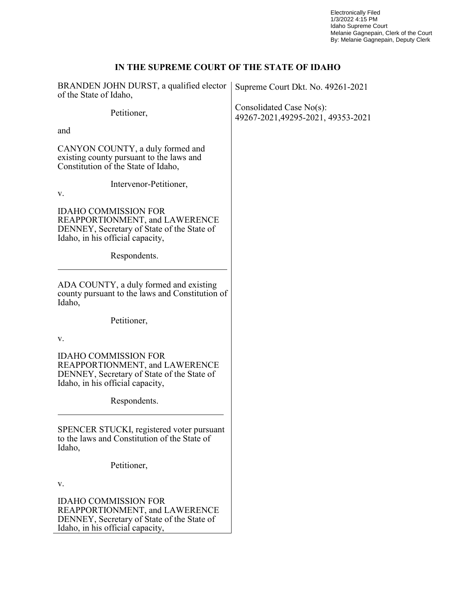Electronically Filed 1/3/2022 4:15 PM Idaho Supreme Court Melanie Gagnepain, Clerk of the Court By: Melanie Gagnepain, Deputy Clerk

# **IN THE SUPREME COURT OF THE STATE OF IDAHO**

| BRANDEN JOHN DURST, a qualified elector<br>of the State of Idaho,                                                                               | Supreme Court Dkt. No. 49261-2021                              |
|-------------------------------------------------------------------------------------------------------------------------------------------------|----------------------------------------------------------------|
| Petitioner,                                                                                                                                     | Consolidated Case No(s):<br>49267-2021, 49295-2021, 49353-2021 |
| and                                                                                                                                             |                                                                |
| CANYON COUNTY, a duly formed and<br>existing county pursuant to the laws and<br>Constitution of the State of Idaho,                             |                                                                |
| Intervenor-Petitioner,<br>V.                                                                                                                    |                                                                |
| <b>IDAHO COMMISSION FOR</b><br>REAPPORTIONMENT, and LAWERENCE<br>DENNEY, Secretary of State of the State of<br>Idaho, in his official capacity, |                                                                |
| Respondents.                                                                                                                                    |                                                                |
| ADA COUNTY, a duly formed and existing<br>county pursuant to the laws and Constitution of<br>Idaho,                                             |                                                                |
| Petitioner,                                                                                                                                     |                                                                |
| V.                                                                                                                                              |                                                                |
| <b>IDAHO COMMISSION FOR</b><br>REAPPORTIONMENT, and LAWERENCE<br>DENNEY, Secretary of State of the State of<br>Idaho, in his official capacity, |                                                                |
| Respondents.                                                                                                                                    |                                                                |
| SPENCER STUCKI, registered voter pursuant<br>to the laws and Constitution of the State of<br>Idaho,                                             |                                                                |
| Petitioner,                                                                                                                                     |                                                                |
| v.                                                                                                                                              |                                                                |
| <b>IDAHO COMMISSION FOR</b><br>REAPPORTIONMENT, and LAWERENCE<br>DENNEY, Secretary of State of the State of<br>Idaho, in his official capacity, |                                                                |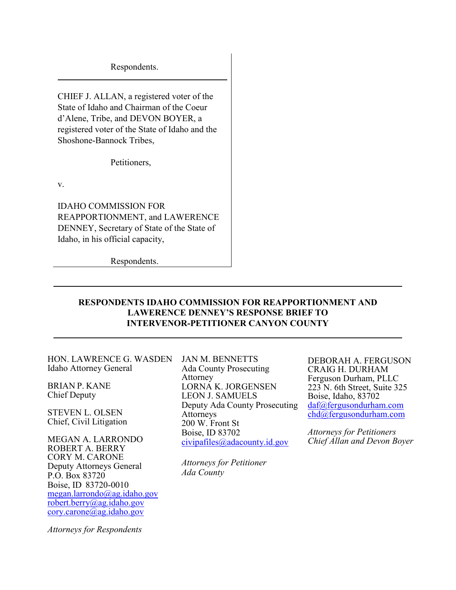Respondents.

CHIEF J. ALLAN, a registered voter of the State of Idaho and Chairman of the Coeur d'Alene, Tribe, and DEVON BOYER, a registered voter of the State of Idaho and the Shoshone-Bannock Tribes,

Petitioners,

v.

IDAHO COMMISSION FOR REAPPORTIONMENT, and LAWERENCE DENNEY, Secretary of State of the State of Idaho, in his official capacity,

Respondents.

### **RESPONDENTS IDAHO COMMISSION FOR REAPPORTIONMENT AND LAWERENCE DENNEY'S RESPONSE BRIEF TO INTERVENOR-PETITIONER CANYON COUNTY**

HON. LAWRENCE G. WASDEN Idaho Attorney General

BRIAN P. KANE Chief Deputy

STEVEN L. OLSEN Chief, Civil Litigation

MEGAN A. LARRONDO ROBERT A. BERRY CORY M. CARONE Deputy Attorneys General P.O. Box 83720 Boise, ID 83720-0010 [megan.larrondo@ag.idaho.gov](mailto:megan.larrondo@ag.idaho.gov) [robert.berry@ag.idaho.gov](mailto:robert.berry@ag.idaho.gov) [cory.carone@ag.idaho.gov](mailto:cory.carone@ag.idaho.gov)

*Attorneys for Respondents*

JAN M. BENNETTS Ada County Prosecuting Attorney LORNA K. JORGENSEN LEON J. SAMUELS Deputy Ada County Prosecuting Attorneys 200 W. Front St Boise, ID 83702 [civipafiles@adacounty.id.gov](mailto:civipafiles@adacounty.id.gov)

*Attorneys for Petitioner Ada County*

DEBORAH A. FERGUSON CRAIG H. DURHAM Ferguson Durham, PLLC 223 N. 6th Street, Suite 325 Boise, Idaho, 83702 [daf@fergusondurham.com](mailto:daf@fergusondurham.com)  [chd@fergusondurham.com](mailto:chd@fergusondurham.com) 

*Attorneys for Petitioners Chief Allan and Devon Boyer*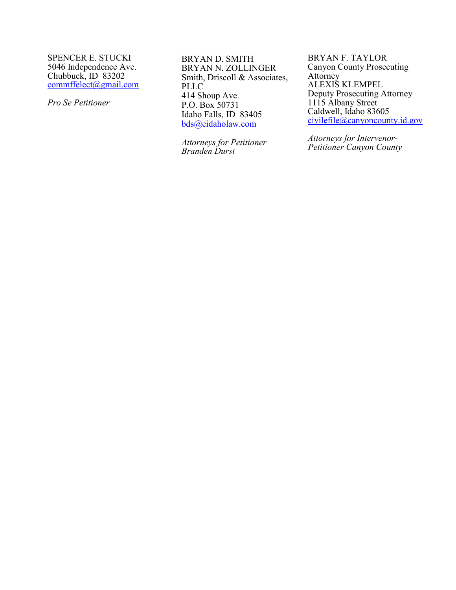SPENCER E. STUCKI 5046 Independence Ave. Chubbuck, ID 83202 [commffelect@gmail.com](mailto:commffelect@gmail.com)

*Pro Se Petitioner* 

BRYAN D. SMITH BRYAN N. ZOLLINGER Smith, Driscoll & Associates, PLLC 414 Shoup Ave. P.O. Box 50731 Idaho Falls, ID 83405 [bds@eidaholaw.com](mailto:bds@eidaholaw.com)

*Attorneys for Petitioner Branden Durst*

BRYAN F. TAYLOR Canyon County Prosecuting Attorney ALEXIS KLEMPEL Deputy Prosecuting Attorney 1115 Albany Street Caldwell, Idaho 83605 [civilefile@canyoncounty.id.gov](mailto:civilefile@canyoncounty.id.gov)

*Attorneys for Intervenor-Petitioner Canyon County*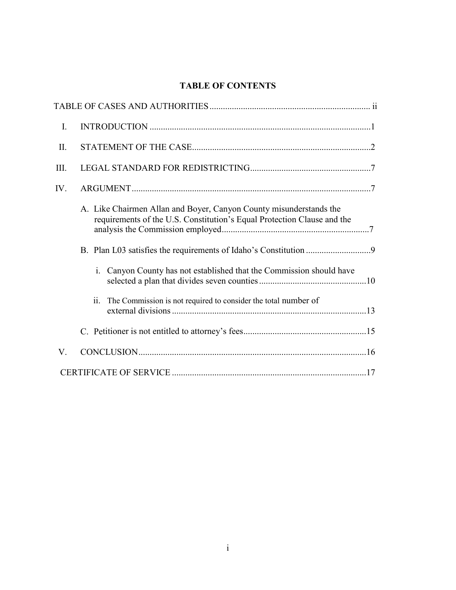# **TABLE OF CONTENTS**

| I.   |                                                                                                                                               |
|------|-----------------------------------------------------------------------------------------------------------------------------------------------|
| II.  |                                                                                                                                               |
| III. |                                                                                                                                               |
| IV.  |                                                                                                                                               |
|      | A. Like Chairmen Allan and Boyer, Canyon County misunderstands the<br>requirements of the U.S. Constitution's Equal Protection Clause and the |
|      |                                                                                                                                               |
|      | Canyon County has not established that the Commission should have<br>i.                                                                       |
|      | The Commission is not required to consider the total number of<br>$\overline{11}$ .                                                           |
|      |                                                                                                                                               |
| V.   |                                                                                                                                               |
|      |                                                                                                                                               |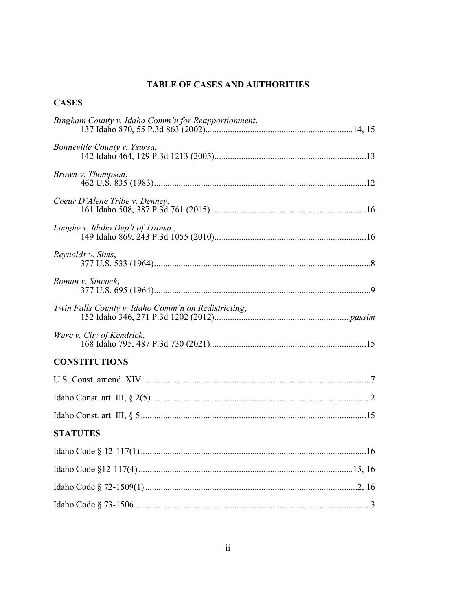# TABLE OF CASES AND AUTHORITIES

# **CASES**

| Bingham County v. Idaho Comm'n for Reapportionment, |
|-----------------------------------------------------|
| Bonneville County v. Ysursa,                        |
| Brown v. Thompson,                                  |
| Coeur D'Alene Tribe v. Denney,                      |
| Laughy v. Idaho Dep't of Transp.,                   |
| Reynolds v. Sims,                                   |
| Roman v. Sincock,                                   |
| Twin Falls County v. Idaho Comm'n on Redistricting, |
| Ware v. City of Kendrick,                           |
| <b>CONSTITUTIONS</b>                                |
|                                                     |
|                                                     |
|                                                     |
| <b>STATUTES</b>                                     |
|                                                     |
|                                                     |
|                                                     |
|                                                     |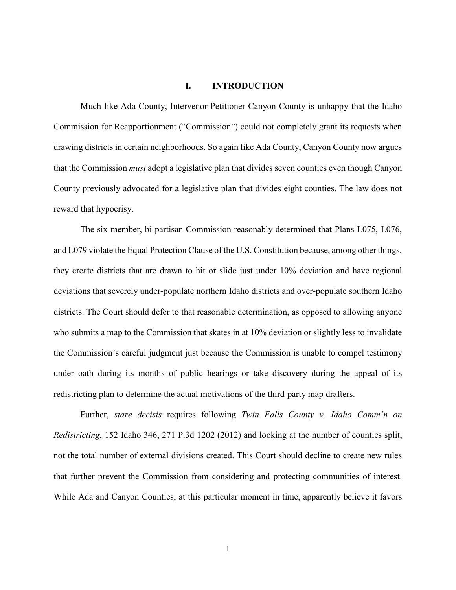#### **I. INTRODUCTION**

Much like Ada County, Intervenor-Petitioner Canyon County is unhappy that the Idaho Commission for Reapportionment ("Commission") could not completely grant its requests when drawing districts in certain neighborhoods. So again like Ada County, Canyon County now argues that the Commission *must* adopt a legislative plan that divides seven counties even though Canyon County previously advocated for a legislative plan that divides eight counties. The law does not reward that hypocrisy.

The six-member, bi-partisan Commission reasonably determined that Plans L075, L076, and L079 violate the Equal Protection Clause of the U.S. Constitution because, among other things, they create districts that are drawn to hit or slide just under 10% deviation and have regional deviations that severely under-populate northern Idaho districts and over-populate southern Idaho districts. The Court should defer to that reasonable determination, as opposed to allowing anyone who submits a map to the Commission that skates in at 10% deviation or slightly less to invalidate the Commission's careful judgment just because the Commission is unable to compel testimony under oath during its months of public hearings or take discovery during the appeal of its redistricting plan to determine the actual motivations of the third-party map drafters.

Further, *stare decisis* requires following *Twin Falls County v. Idaho Comm'n on Redistricting*, 152 Idaho 346, 271 P.3d 1202 (2012) and looking at the number of counties split, not the total number of external divisions created. This Court should decline to create new rules that further prevent the Commission from considering and protecting communities of interest. While Ada and Canyon Counties, at this particular moment in time, apparently believe it favors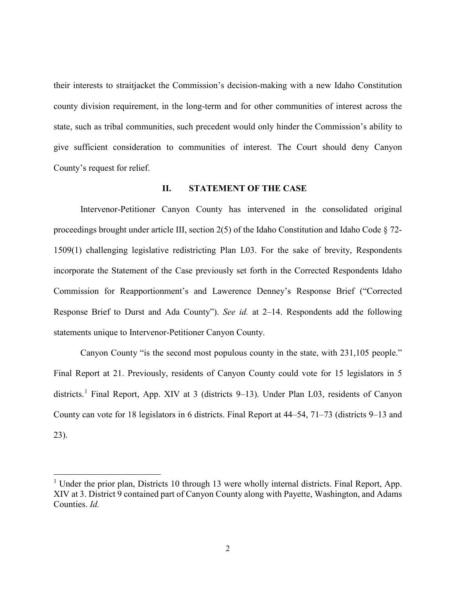their interests to straitjacket the Commission's decision-making with a new Idaho Constitution county division requirement, in the long-term and for other communities of interest across the state, such as tribal communities, such precedent would only hinder the Commission's ability to give sufficient consideration to communities of interest. The Court should deny Canyon County's request for relief.

#### **II. STATEMENT OF THE CASE**

Intervenor-Petitioner Canyon County has intervened in the consolidated original proceedings brought under article III, section 2(5) of the Idaho Constitution and Idaho Code § 72- 1509(1) challenging legislative redistricting Plan L03. For the sake of brevity, Respondents incorporate the Statement of the Case previously set forth in the Corrected Respondents Idaho Commission for Reapportionment's and Lawerence Denney's Response Brief ("Corrected Response Brief to Durst and Ada County"). *See id.* at 2–14. Respondents add the following statements unique to Intervenor-Petitioner Canyon County.

Canyon County "is the second most populous county in the state, with 231,105 people." Final Report at 21. Previously, residents of Canyon County could vote for 15 legislators in 5 districts.<sup>[1](#page-6-0)</sup> Final Report, App. XIV at 3 (districts 9-13). Under Plan L03, residents of Canyon County can vote for 18 legislators in 6 districts. Final Report at 44–54, 71–73 (districts 9–13 and 23).

<span id="page-6-0"></span><sup>&</sup>lt;sup>1</sup> Under the prior plan, Districts 10 through 13 were wholly internal districts. Final Report, App. XIV at 3. District 9 contained part of Canyon County along with Payette, Washington, and Adams Counties. *Id.*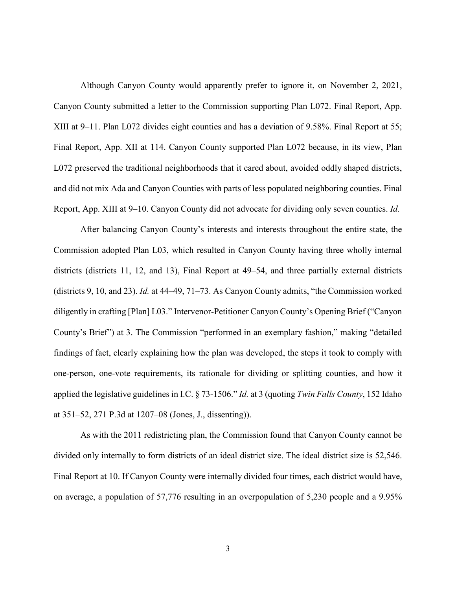Although Canyon County would apparently prefer to ignore it, on November 2, 2021, Canyon County submitted a letter to the Commission supporting Plan L072. Final Report, App. XIII at 9–11. Plan L072 divides eight counties and has a deviation of 9.58%. Final Report at 55; Final Report, App. XII at 114. Canyon County supported Plan L072 because, in its view, Plan L072 preserved the traditional neighborhoods that it cared about, avoided oddly shaped districts, and did not mix Ada and Canyon Counties with parts of less populated neighboring counties. Final Report, App. XIII at 9–10. Canyon County did not advocate for dividing only seven counties. *Id.*

After balancing Canyon County's interests and interests throughout the entire state, the Commission adopted Plan L03, which resulted in Canyon County having three wholly internal districts (districts 11, 12, and 13), Final Report at 49–54, and three partially external districts (districts 9, 10, and 23). *Id.* at 44–49, 71–73. As Canyon County admits, "the Commission worked diligently in crafting [Plan] L03." Intervenor-Petitioner Canyon County's Opening Brief ("Canyon County's Brief") at 3. The Commission "performed in an exemplary fashion," making "detailed findings of fact, clearly explaining how the plan was developed, the steps it took to comply with one-person, one-vote requirements, its rationale for dividing or splitting counties, and how it applied the legislative guidelines in I.C. § 73-1506." *Id.* at 3 (quoting *Twin Falls County*, 152 Idaho at 351–52, 271 P.3d at 1207–08 (Jones, J., dissenting)).

As with the 2011 redistricting plan, the Commission found that Canyon County cannot be divided only internally to form districts of an ideal district size. The ideal district size is 52,546. Final Report at 10. If Canyon County were internally divided four times, each district would have, on average, a population of 57,776 resulting in an overpopulation of 5,230 people and a 9.95%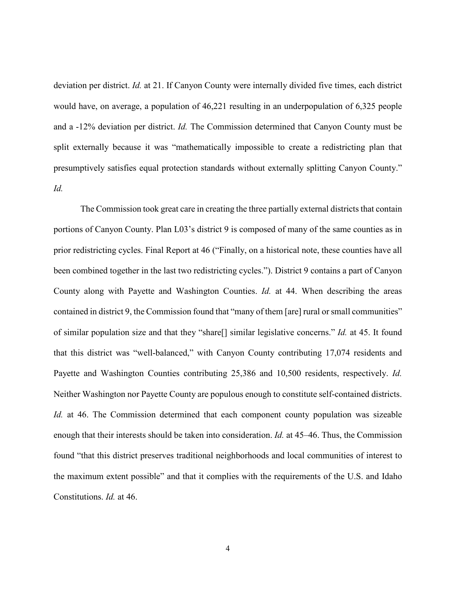deviation per district. *Id.* at 21. If Canyon County were internally divided five times, each district would have, on average, a population of 46,221 resulting in an underpopulation of 6,325 people and a -12% deviation per district. *Id.* The Commission determined that Canyon County must be split externally because it was "mathematically impossible to create a redistricting plan that presumptively satisfies equal protection standards without externally splitting Canyon County." *Id.*

The Commission took great care in creating the three partially external districts that contain portions of Canyon County. Plan L03's district 9 is composed of many of the same counties as in prior redistricting cycles. Final Report at 46 ("Finally, on a historical note, these counties have all been combined together in the last two redistricting cycles."). District 9 contains a part of Canyon County along with Payette and Washington Counties. *Id.* at 44. When describing the areas contained in district 9, the Commission found that "many of them [are] rural or small communities" of similar population size and that they "share[] similar legislative concerns." *Id.* at 45. It found that this district was "well-balanced," with Canyon County contributing 17,074 residents and Payette and Washington Counties contributing 25,386 and 10,500 residents, respectively. *Id.*  Neither Washington nor Payette County are populous enough to constitute self-contained districts. *Id.* at 46. The Commission determined that each component county population was sizeable enough that their interests should be taken into consideration. *Id.* at 45–46. Thus, the Commission found "that this district preserves traditional neighborhoods and local communities of interest to the maximum extent possible" and that it complies with the requirements of the U.S. and Idaho Constitutions. *Id.* at 46.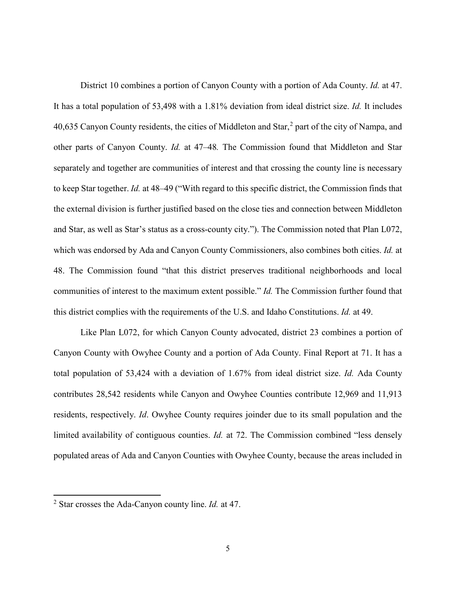District 10 combines a portion of Canyon County with a portion of Ada County. *Id.* at 47. It has a total population of 53,498 with a 1.81% deviation from ideal district size. *Id.* It includes 40,635 Canyon County residents, the cities of Middleton and Star, $<sup>2</sup>$  $<sup>2</sup>$  $<sup>2</sup>$  part of the city of Nampa, and</sup> other parts of Canyon County. *Id.* at 47–48*.* The Commission found that Middleton and Star separately and together are communities of interest and that crossing the county line is necessary to keep Star together. *Id.* at 48–49 ("With regard to this specific district, the Commission finds that the external division is further justified based on the close ties and connection between Middleton and Star, as well as Star's status as a cross‐county city."). The Commission noted that Plan L072, which was endorsed by Ada and Canyon County Commissioners, also combines both cities. *Id.* at 48. The Commission found "that this district preserves traditional neighborhoods and local communities of interest to the maximum extent possible." *Id.* The Commission further found that this district complies with the requirements of the U.S. and Idaho Constitutions. *Id.* at 49.

Like Plan L072, for which Canyon County advocated, district 23 combines a portion of Canyon County with Owyhee County and a portion of Ada County. Final Report at 71. It has a total population of 53,424 with a deviation of 1.67% from ideal district size. *Id.* Ada County contributes 28,542 residents while Canyon and Owyhee Counties contribute 12,969 and 11,913 residents, respectively. *Id*. Owyhee County requires joinder due to its small population and the limited availability of contiguous counties. *Id.* at 72. The Commission combined "less densely populated areas of Ada and Canyon Counties with Owyhee County, because the areas included in

<span id="page-9-0"></span><sup>2</sup> Star crosses the Ada-Canyon county line. *Id.* at 47.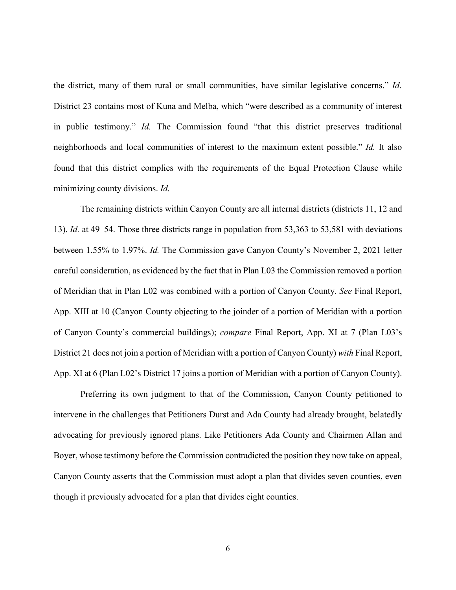the district, many of them rural or small communities, have similar legislative concerns." *Id.* District 23 contains most of Kuna and Melba, which "were described as a community of interest in public testimony." *Id.* The Commission found "that this district preserves traditional neighborhoods and local communities of interest to the maximum extent possible." *Id.* It also found that this district complies with the requirements of the Equal Protection Clause while minimizing county divisions. *Id.*

The remaining districts within Canyon County are all internal districts (districts 11, 12 and 13). *Id.* at 49–54. Those three districts range in population from 53,363 to 53,581 with deviations between 1.55% to 1.97%. *Id.* The Commission gave Canyon County's November 2, 2021 letter careful consideration, as evidenced by the fact that in Plan L03 the Commission removed a portion of Meridian that in Plan L02 was combined with a portion of Canyon County. *See* Final Report, App. XIII at 10 (Canyon County objecting to the joinder of a portion of Meridian with a portion of Canyon County's commercial buildings); *compare* Final Report, App. XI at 7 (Plan L03's District 21 does not join a portion of Meridian with a portion of Canyon County) *with* Final Report, App. XI at 6 (Plan L02's District 17 joins a portion of Meridian with a portion of Canyon County).

Preferring its own judgment to that of the Commission, Canyon County petitioned to intervene in the challenges that Petitioners Durst and Ada County had already brought, belatedly advocating for previously ignored plans. Like Petitioners Ada County and Chairmen Allan and Boyer, whose testimony before the Commission contradicted the position they now take on appeal, Canyon County asserts that the Commission must adopt a plan that divides seven counties, even though it previously advocated for a plan that divides eight counties.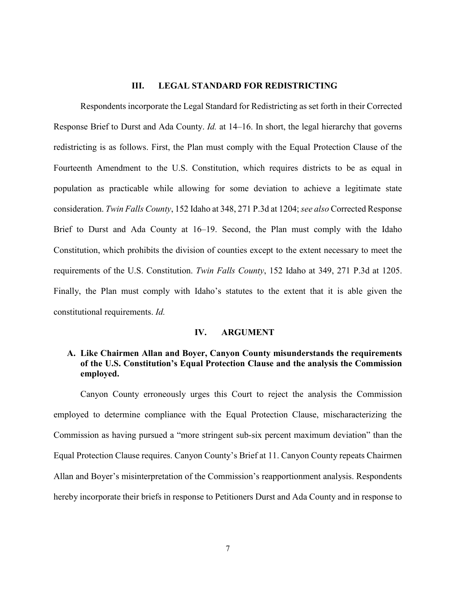#### **III. LEGAL STANDARD FOR REDISTRICTING**

Respondents incorporate the Legal Standard for Redistricting as set forth in their Corrected Response Brief to Durst and Ada County. *Id.* at 14–16. In short, the legal hierarchy that governs redistricting is as follows. First, the Plan must comply with the Equal Protection Clause of the Fourteenth Amendment to the U.S. Constitution, which requires districts to be as equal in population as practicable while allowing for some deviation to achieve a legitimate state consideration. *Twin Falls County*, 152 Idaho at 348, 271 P.3d at 1204; *see also* Corrected Response Brief to Durst and Ada County at 16–19. Second, the Plan must comply with the Idaho Constitution, which prohibits the division of counties except to the extent necessary to meet the requirements of the U.S. Constitution. *Twin Falls County*, 152 Idaho at 349, 271 P.3d at 1205. Finally, the Plan must comply with Idaho's statutes to the extent that it is able given the constitutional requirements. *Id.*

#### **IV. ARGUMENT**

### **A. Like Chairmen Allan and Boyer, Canyon County misunderstands the requirements of the U.S. Constitution's Equal Protection Clause and the analysis the Commission employed.**

Canyon County erroneously urges this Court to reject the analysis the Commission employed to determine compliance with the Equal Protection Clause, mischaracterizing the Commission as having pursued a "more stringent sub-six percent maximum deviation" than the Equal Protection Clause requires. Canyon County's Brief at 11. Canyon County repeats Chairmen Allan and Boyer's misinterpretation of the Commission's reapportionment analysis. Respondents hereby incorporate their briefs in response to Petitioners Durst and Ada County and in response to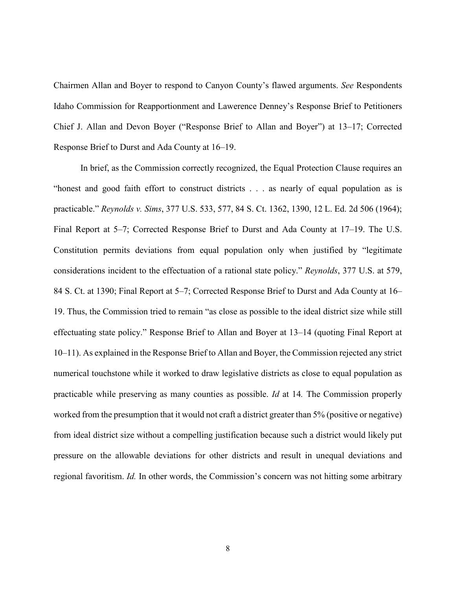Chairmen Allan and Boyer to respond to Canyon County's flawed arguments. *See* Respondents Idaho Commission for Reapportionment and Lawerence Denney's Response Brief to Petitioners Chief J. Allan and Devon Boyer ("Response Brief to Allan and Boyer") at 13–17; Corrected Response Brief to Durst and Ada County at 16–19.

In brief, as the Commission correctly recognized, the Equal Protection Clause requires an "honest and good faith effort to construct districts . . . as nearly of equal population as is practicable." *Reynolds v. Sims*, 377 U.S. 533, 577, 84 S. Ct. 1362, 1390, 12 L. Ed. 2d 506 (1964); Final Report at 5–7; Corrected Response Brief to Durst and Ada County at 17–19. The U.S. Constitution permits deviations from equal population only when justified by "legitimate considerations incident to the effectuation of a rational state policy." *Reynolds*, 377 U.S. at 579, 84 S. Ct. at 1390; Final Report at 5–7; Corrected Response Brief to Durst and Ada County at 16– 19. Thus, the Commission tried to remain "as close as possible to the ideal district size while still effectuating state policy." Response Brief to Allan and Boyer at 13–14 (quoting Final Report at 10–11). As explained in the Response Brief to Allan and Boyer, the Commission rejected any strict numerical touchstone while it worked to draw legislative districts as close to equal population as practicable while preserving as many counties as possible. *Id* at 14*.* The Commission properly worked from the presumption that it would not craft a district greater than 5% (positive or negative) from ideal district size without a compelling justification because such a district would likely put pressure on the allowable deviations for other districts and result in unequal deviations and regional favoritism. *Id.* In other words, the Commission's concern was not hitting some arbitrary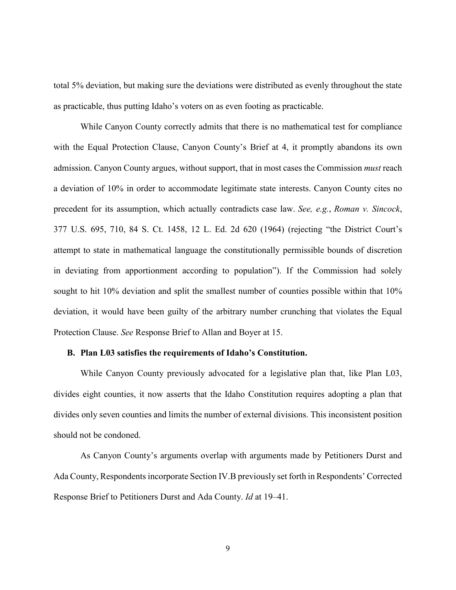total 5% deviation, but making sure the deviations were distributed as evenly throughout the state as practicable, thus putting Idaho's voters on as even footing as practicable.

While Canyon County correctly admits that there is no mathematical test for compliance with the Equal Protection Clause, Canyon County's Brief at 4, it promptly abandons its own admission. Canyon County argues, without support, that in most cases the Commission *must* reach a deviation of 10% in order to accommodate legitimate state interests. Canyon County cites no precedent for its assumption, which actually contradicts case law. *See, e.g.*, *Roman v. Sincock*, 377 U.S. 695, 710, 84 S. Ct. 1458, 12 L. Ed. 2d 620 (1964) (rejecting "the District Court's attempt to state in mathematical language the constitutionally permissible bounds of discretion in deviating from apportionment according to population"). If the Commission had solely sought to hit 10% deviation and split the smallest number of counties possible within that 10% deviation, it would have been guilty of the arbitrary number crunching that violates the Equal Protection Clause. *See* Response Brief to Allan and Boyer at 15.

#### **B. Plan L03 satisfies the requirements of Idaho's Constitution.**

While Canyon County previously advocated for a legislative plan that, like Plan L03, divides eight counties, it now asserts that the Idaho Constitution requires adopting a plan that divides only seven counties and limits the number of external divisions. This inconsistent position should not be condoned.

As Canyon County's arguments overlap with arguments made by Petitioners Durst and Ada County, Respondents incorporate Section IV.B previously set forth in Respondents' Corrected Response Brief to Petitioners Durst and Ada County. *Id* at 19–41.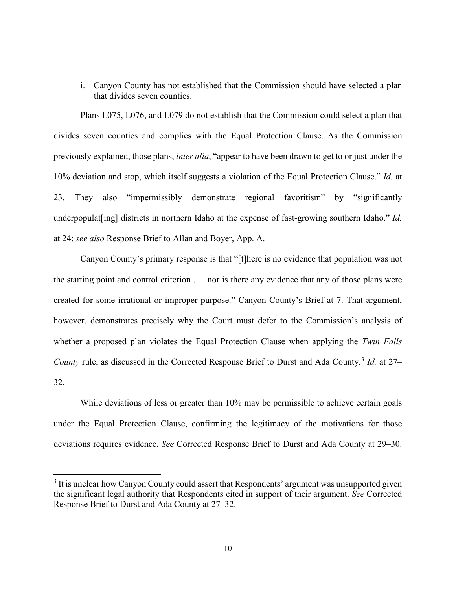## i. Canyon County has not established that the Commission should have selected a plan that divides seven counties.

Plans L075, L076, and L079 do not establish that the Commission could select a plan that divides seven counties and complies with the Equal Protection Clause. As the Commission previously explained, those plans, *inter alia*, "appear to have been drawn to get to or just under the 10% deviation and stop, which itself suggests a violation of the Equal Protection Clause." *Id.* at 23. They also "impermissibly demonstrate regional favoritism" by "significantly underpopulat [ing] districts in northern Idaho at the expense of fast-growing southern Idaho." *Id.* at 24; *see also* Response Brief to Allan and Boyer, App. A.

Canyon County's primary response is that "[t]here is no evidence that population was not the starting point and control criterion . . . nor is there any evidence that any of those plans were created for some irrational or improper purpose." Canyon County's Brief at 7. That argument, however, demonstrates precisely why the Court must defer to the Commission's analysis of whether a proposed plan violates the Equal Protection Clause when applying the *Twin Falls County* rule, as discussed in the Corrected Response Brief to Durst and Ada County.<sup>[3](#page-14-0)</sup> *Id.* at 27– 32.

While deviations of less or greater than 10% may be permissible to achieve certain goals under the Equal Protection Clause, confirming the legitimacy of the motivations for those deviations requires evidence. *See* Corrected Response Brief to Durst and Ada County at 29–30.

l

<span id="page-14-0"></span><sup>&</sup>lt;sup>3</sup> It is unclear how Canyon County could assert that Respondents' argument was unsupported given the significant legal authority that Respondents cited in support of their argument. *See* Corrected Response Brief to Durst and Ada County at 27–32.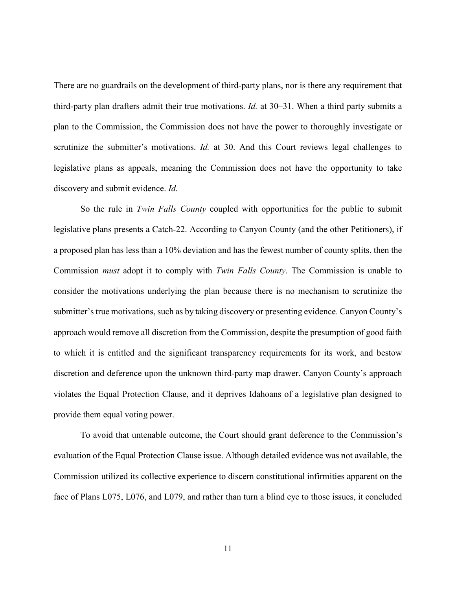There are no guardrails on the development of third-party plans, nor is there any requirement that third-party plan drafters admit their true motivations. *Id.* at 30–31. When a third party submits a plan to the Commission, the Commission does not have the power to thoroughly investigate or scrutinize the submitter's motivations. *Id.* at 30. And this Court reviews legal challenges to legislative plans as appeals, meaning the Commission does not have the opportunity to take discovery and submit evidence. *Id.*

So the rule in *Twin Falls County* coupled with opportunities for the public to submit legislative plans presents a Catch-22. According to Canyon County (and the other Petitioners), if a proposed plan has less than a 10% deviation and has the fewest number of county splits, then the Commission *must* adopt it to comply with *Twin Falls County*. The Commission is unable to consider the motivations underlying the plan because there is no mechanism to scrutinize the submitter's true motivations, such as by taking discovery or presenting evidence. Canyon County's approach would remove all discretion from the Commission, despite the presumption of good faith to which it is entitled and the significant transparency requirements for its work, and bestow discretion and deference upon the unknown third-party map drawer. Canyon County's approach violates the Equal Protection Clause, and it deprives Idahoans of a legislative plan designed to provide them equal voting power.

To avoid that untenable outcome, the Court should grant deference to the Commission's evaluation of the Equal Protection Clause issue. Although detailed evidence was not available, the Commission utilized its collective experience to discern constitutional infirmities apparent on the face of Plans L075, L076, and L079, and rather than turn a blind eye to those issues, it concluded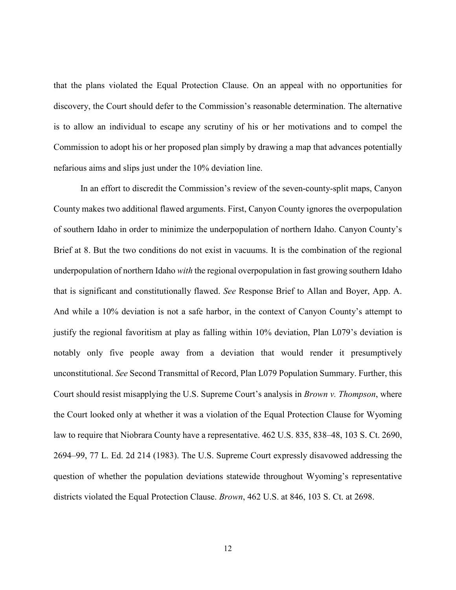that the plans violated the Equal Protection Clause. On an appeal with no opportunities for discovery, the Court should defer to the Commission's reasonable determination. The alternative is to allow an individual to escape any scrutiny of his or her motivations and to compel the Commission to adopt his or her proposed plan simply by drawing a map that advances potentially nefarious aims and slips just under the 10% deviation line.

In an effort to discredit the Commission's review of the seven-county-split maps, Canyon County makes two additional flawed arguments. First, Canyon County ignores the overpopulation of southern Idaho in order to minimize the underpopulation of northern Idaho. Canyon County's Brief at 8. But the two conditions do not exist in vacuums. It is the combination of the regional underpopulation of northern Idaho *with* the regional overpopulation in fast growing southern Idaho that is significant and constitutionally flawed. *See* Response Brief to Allan and Boyer, App. A. And while a 10% deviation is not a safe harbor, in the context of Canyon County's attempt to justify the regional favoritism at play as falling within 10% deviation, Plan L079's deviation is notably only five people away from a deviation that would render it presumptively unconstitutional. *See* Second Transmittal of Record, Plan L079 Population Summary. Further, this Court should resist misapplying the U.S. Supreme Court's analysis in *Brown v. Thompson*, where the Court looked only at whether it was a violation of the Equal Protection Clause for Wyoming law to require that Niobrara County have a representative. 462 U.S. 835, 838–48, 103 S. Ct. 2690, 2694–99, 77 L. Ed. 2d 214 (1983). The U.S. Supreme Court expressly disavowed addressing the question of whether the population deviations statewide throughout Wyoming's representative districts violated the Equal Protection Clause. *Brown*, 462 U.S. at 846, 103 S. Ct. at 2698.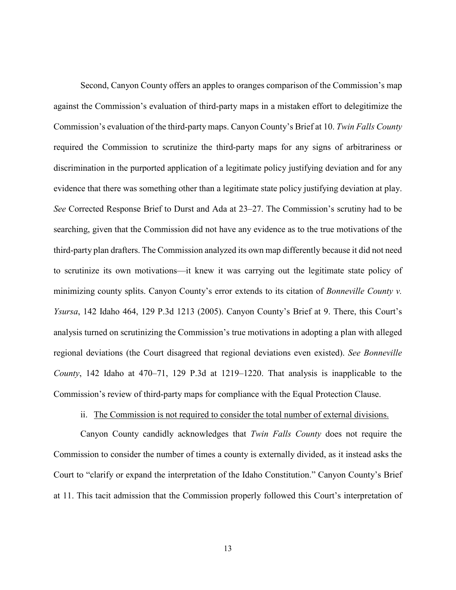Second, Canyon County offers an apples to oranges comparison of the Commission's map against the Commission's evaluation of third-party maps in a mistaken effort to delegitimize the Commission's evaluation of the third-party maps. Canyon County's Brief at 10. *Twin Falls County* required the Commission to scrutinize the third-party maps for any signs of arbitrariness or discrimination in the purported application of a legitimate policy justifying deviation and for any evidence that there was something other than a legitimate state policy justifying deviation at play. *See* Corrected Response Brief to Durst and Ada at 23–27. The Commission's scrutiny had to be searching, given that the Commission did not have any evidence as to the true motivations of the third-party plan drafters. The Commission analyzed its own map differently because it did not need to scrutinize its own motivations—it knew it was carrying out the legitimate state policy of minimizing county splits. Canyon County's error extends to its citation of *Bonneville County v. Ysursa*, 142 Idaho 464, 129 P.3d 1213 (2005). Canyon County's Brief at 9. There, this Court's analysis turned on scrutinizing the Commission's true motivations in adopting a plan with alleged regional deviations (the Court disagreed that regional deviations even existed). *See Bonneville County*, 142 Idaho at 470–71, 129 P.3d at 1219–1220. That analysis is inapplicable to the Commission's review of third-party maps for compliance with the Equal Protection Clause.

## ii. The Commission is not required to consider the total number of external divisions.

Canyon County candidly acknowledges that *Twin Falls County* does not require the Commission to consider the number of times a county is externally divided, as it instead asks the Court to "clarify or expand the interpretation of the Idaho Constitution." Canyon County's Brief at 11. This tacit admission that the Commission properly followed this Court's interpretation of

13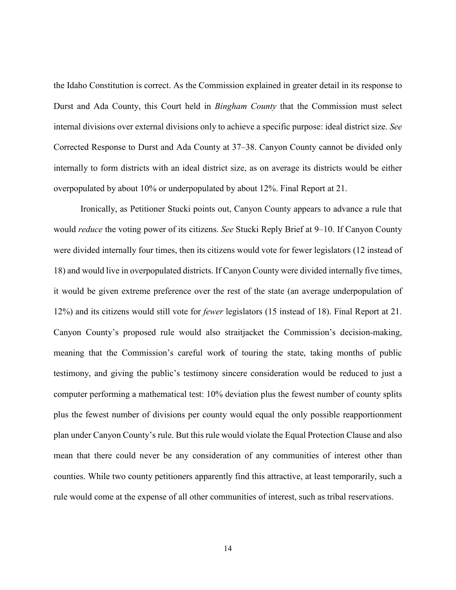the Idaho Constitution is correct. As the Commission explained in greater detail in its response to Durst and Ada County, this Court held in *Bingham County* that the Commission must select internal divisions over external divisions only to achieve a specific purpose: ideal district size. *See* Corrected Response to Durst and Ada County at 37–38. Canyon County cannot be divided only internally to form districts with an ideal district size, as on average its districts would be either overpopulated by about 10% or underpopulated by about 12%. Final Report at 21.

Ironically, as Petitioner Stucki points out, Canyon County appears to advance a rule that would *reduce* the voting power of its citizens. *See* Stucki Reply Brief at 9–10. If Canyon County were divided internally four times, then its citizens would vote for fewer legislators (12 instead of 18) and would live in overpopulated districts. If Canyon County were divided internally five times, it would be given extreme preference over the rest of the state (an average underpopulation of 12%) and its citizens would still vote for *fewer* legislators (15 instead of 18). Final Report at 21. Canyon County's proposed rule would also straitjacket the Commission's decision-making, meaning that the Commission's careful work of touring the state, taking months of public testimony, and giving the public's testimony sincere consideration would be reduced to just a computer performing a mathematical test: 10% deviation plus the fewest number of county splits plus the fewest number of divisions per county would equal the only possible reapportionment plan under Canyon County's rule. But this rule would violate the Equal Protection Clause and also mean that there could never be any consideration of any communities of interest other than counties. While two county petitioners apparently find this attractive, at least temporarily, such a rule would come at the expense of all other communities of interest, such as tribal reservations.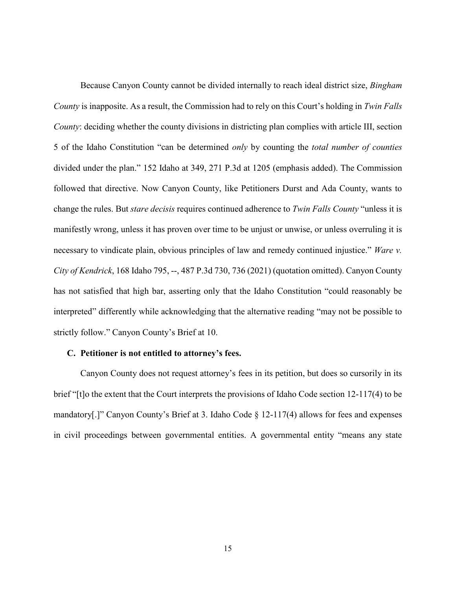Because Canyon County cannot be divided internally to reach ideal district size, *Bingham County* is inapposite. As a result, the Commission had to rely on this Court's holding in *Twin Falls County*: deciding whether the county divisions in districting plan complies with article III, section 5 of the Idaho Constitution "can be determined *only* by counting the *total number of counties*  divided under the plan." 152 Idaho at 349, 271 P.3d at 1205 (emphasis added). The Commission followed that directive. Now Canyon County, like Petitioners Durst and Ada County, wants to change the rules. But *stare decisis* requires continued adherence to *Twin Falls County* "unless it is manifestly wrong, unless it has proven over time to be unjust or unwise, or unless overruling it is necessary to vindicate plain, obvious principles of law and remedy continued injustice." *Ware v. City of Kendrick*, 168 Idaho 795, --, 487 P.3d 730, 736 (2021) (quotation omitted). Canyon County has not satisfied that high bar, asserting only that the Idaho Constitution "could reasonably be interpreted" differently while acknowledging that the alternative reading "may not be possible to strictly follow." Canyon County's Brief at 10.

#### **C. Petitioner is not entitled to attorney's fees.**

Canyon County does not request attorney's fees in its petition, but does so cursorily in its brief "[t]o the extent that the Court interprets the provisions of Idaho Code section 12-117(4) to be mandatory[.]" Canyon County's Brief at 3. Idaho Code § 12-117(4) allows for fees and expenses in civil proceedings between governmental entities. A governmental entity "means any state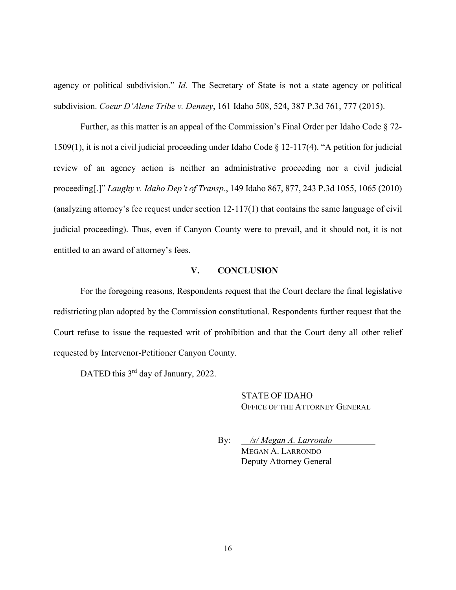agency or political subdivision." *Id.* The Secretary of State is not a state agency or political subdivision. *Coeur D'Alene Tribe v. Denney*, 161 Idaho 508, 524, 387 P.3d 761, 777 (2015).

Further, as this matter is an appeal of the Commission's Final Order per Idaho Code § 72- 1509(1), it is not a civil judicial proceeding under Idaho Code § 12-117(4). "A petition for judicial review of an agency action is neither an administrative proceeding nor a civil judicial proceeding[.]" *Laughy v. Idaho Dep't of Transp.*, 149 Idaho 867, 877, 243 P.3d 1055, 1065 (2010) (analyzing attorney's fee request under section 12-117(1) that contains the same language of civil judicial proceeding). Thus, even if Canyon County were to prevail, and it should not, it is not entitled to an award of attorney's fees.

### **V. CONCLUSION**

For the foregoing reasons, Respondents request that the Court declare the final legislative redistricting plan adopted by the Commission constitutional. Respondents further request that the Court refuse to issue the requested writ of prohibition and that the Court deny all other relief requested by Intervenor-Petitioner Canyon County.

DATED this 3<sup>rd</sup> day of January, 2022.

STATE OF IDAHO OFFICE OF THE ATTORNEY GENERAL

By: */s/ Megan A. Larrondo* MEGAN A. LARRONDO Deputy Attorney General